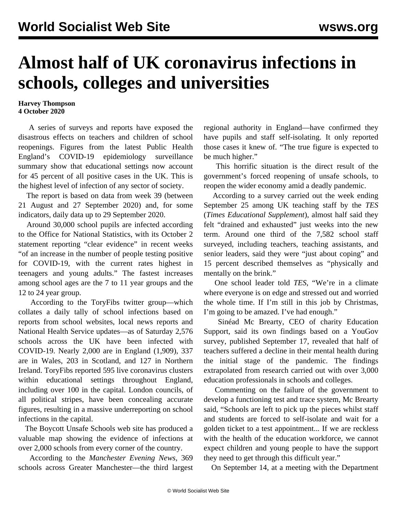## **Almost half of UK coronavirus infections in schools, colleges and universities**

## **Harvey Thompson 4 October 2020**

 A series of surveys and reports have exposed the disastrous effects on teachers and children of school reopenings. Figures from the latest Public Health England's COVID-19 epidemiology surveillance summary show that educational settings now account for 45 percent of all positive cases in the UK. This is the highest level of infection of any sector of society.

 The report is based on data from week 39 (between 21 August and 27 September 2020) and, for some indicators, daily data up to 29 September 2020.

 Around 30,000 school pupils are infected according to the Office for National Statistics, with its October 2 statement reporting "clear evidence" in recent weeks "of an increase in the number of people testing positive for COVID-19, with the current rates highest in teenagers and young adults." The fastest increases among school ages are the 7 to 11 year groups and the 12 to 24 year group.

 According to the ToryFibs twitter group—which collates a daily tally of school infections based on reports from school websites, local news reports and National Health Service updates—as of Saturday 2,576 schools across the UK have been infected with COVID-19. Nearly 2,000 are in England (1,909), 337 are in Wales, 203 in Scotland, and 127 in Northern Ireland. ToryFibs reported 595 live coronavirus clusters within educational settings throughout England, including over 100 in the capital. London councils, of all political stripes, have been concealing accurate figures, resulting in a massive underreporting on school infections in the capital.

 The [Boycott Unsafe Schools](https://www.boycottunsafeschools.co.uk/reported-covid-19-cases/school-cases-after-12-8-20/) web site has produced a valuable map showing the evidence of infections at over 2,000 schools from every corner of the country.

 According to the *Manchester Evening News*, 369 schools across Greater Manchester—the third largest regional authority in England—have confirmed they have pupils and staff self-isolating. It only reported those cases it knew of. "The true figure is expected to be much higher."

 This horrific situation is the direct result of the government's forced reopening of unsafe schools, to reopen the wider economy amid a deadly pandemic.

 According to a survey carried out the week ending September 25 among UK teaching staff by the *TES* (*Times Educational Supplement*), almost half said they felt "drained and exhausted" just weeks into the new term. Around one third of the 7,582 school staff surveyed, including teachers, teaching assistants, and senior leaders, said they were "just about coping" and 15 percent described themselves as "physically and mentally on the brink."

 One school leader told *TES*, "We're in a climate where everyone is on edge and stressed out and worried the whole time. If I'm still in this job by Christmas, I'm going to be amazed. I've had enough."

 Sinéad Mc Brearty, CEO of charity Education Support, said its own findings based on a YouGov survey, published September 17, revealed that half of teachers suffered a decline in their mental health during the initial stage of the pandemic. The findings extrapolated from research carried out with over 3,000 education professionals in schools and colleges.

 Commenting on the failure of the government to develop a functioning test and trace system, Mc Brearty said, "Schools are left to pick up the pieces whilst staff and students are forced to self-isolate and wait for a golden ticket to a test appointment... If we are reckless with the health of the education workforce, we cannot expect children and young people to have the support they need to get through this difficult year."

On September 14, at a meeting with the Department